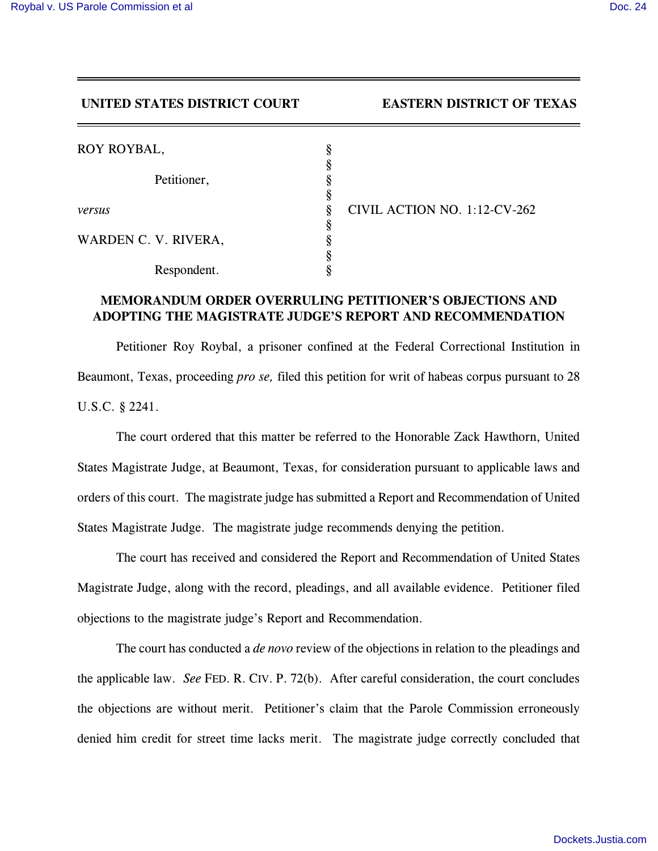## **UNITED STATES DISTRICT COURT EASTERN DISTRICT OF TEXAS**

| ROY ROYBAL,          |                              |  |
|----------------------|------------------------------|--|
|                      |                              |  |
| Petitioner,          |                              |  |
|                      |                              |  |
| versus               | CIVIL ACTION NO. 1:12-CV-262 |  |
|                      |                              |  |
| WARDEN C. V. RIVERA, |                              |  |
|                      |                              |  |
| Respondent.          |                              |  |

## **MEMORANDUM ORDER OVERRULING PETITIONER'S OBJECTIONS AND ADOPTING THE MAGISTRATE JUDGE'S REPORT AND RECOMMENDATION**

Petitioner Roy Roybal, a prisoner confined at the Federal Correctional Institution in Beaumont, Texas, proceeding *pro se,* filed this petition for writ of habeas corpus pursuant to 28 U.S.C. § 2241.

The court ordered that this matter be referred to the Honorable Zack Hawthorn, United States Magistrate Judge, at Beaumont, Texas, for consideration pursuant to applicable laws and orders of this court. The magistrate judge has submitted a Report and Recommendation of United States Magistrate Judge. The magistrate judge recommends denying the petition.

The court has received and considered the Report and Recommendation of United States Magistrate Judge, along with the record, pleadings, and all available evidence. Petitioner filed objections to the magistrate judge's Report and Recommendation.

The court has conducted a *de novo* review of the objections in relation to the pleadings and the applicable law. *See* FED. R. CIV. P. 72(b). After careful consideration, the court concludes the objections are without merit. Petitioner's claim that the Parole Commission erroneously denied him credit for street time lacks merit. The magistrate judge correctly concluded that